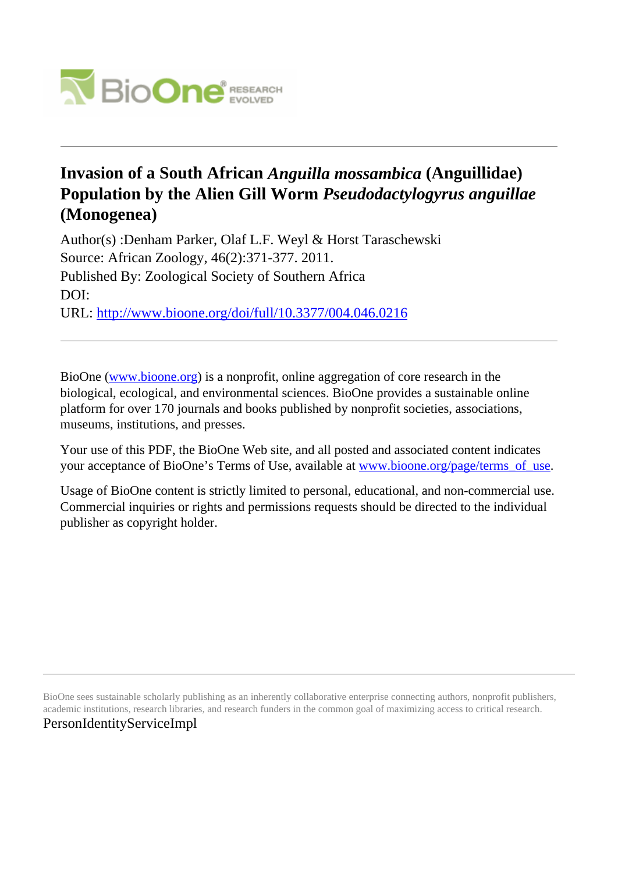

# **Invasion of a South African** *Anguilla mossambica* **(Anguillidae) Population by the Alien Gill Worm** *Pseudodactylogyrus anguillae* **(Monogenea)**

Author(s) :Denham Parker, Olaf L.F. Weyl & Horst Taraschewski Source: African Zoology, 46(2):371-377. 2011. Published By: Zoological Society of Southern Africa DOI: URL: <http://www.bioone.org/doi/full/10.3377/004.046.0216>

BioOne [\(www.bioone.org\)](http://www.bioone.org) is a nonprofit, online aggregation of core research in the biological, ecological, and environmental sciences. BioOne provides a sustainable online platform for over 170 journals and books published by nonprofit societies, associations, museums, institutions, and presses.

Your use of this PDF, the BioOne Web site, and all posted and associated content indicates your acceptance of BioOne's Terms of Use, available at [www.bioone.org/page/terms\\_of\\_use.](http://www.bioone.org/page/terms_of_use)

Usage of BioOne content is strictly limited to personal, educational, and non-commercial use. Commercial inquiries or rights and permissions requests should be directed to the individual publisher as copyright holder.

BioOne sees sustainable scholarly publishing as an inherently collaborative enterprise connecting authors, nonprofit publishers, academic institutions, research libraries, and research funders in the common goal of maximizing access to critical research. PersonIdentityServiceImpl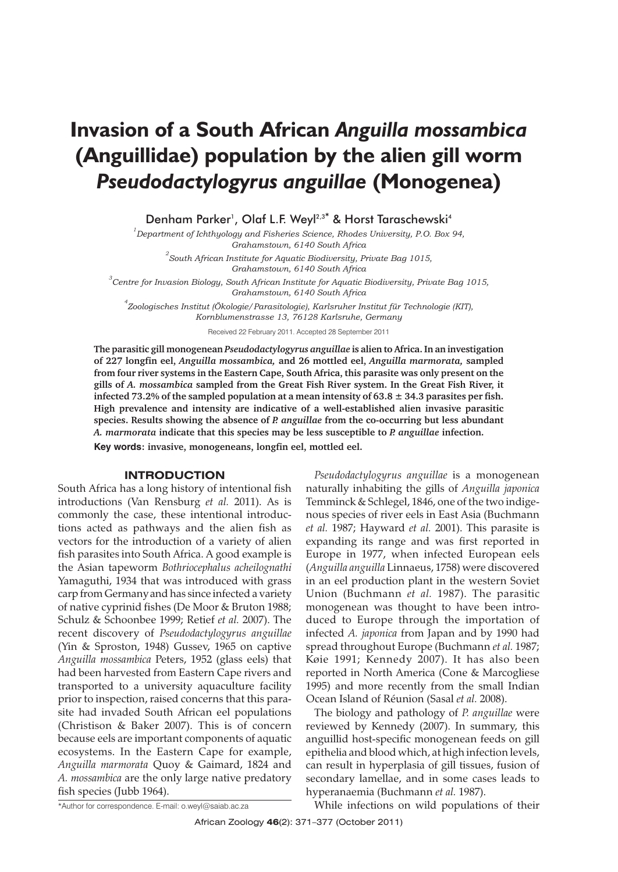# **Invasion of a South African** *Anguilla mossambica* **(Anguillidae) population by the alien gill worm** *Pseudodactylogyrus anguillae* **(Monogenea)**

Denham Parker<sup>1</sup>, Olaf L.F. Wevl<sup>2,3\*</sup> & Horst Taraschewski<sup>4</sup>

*1 Department of Ichthyology and Fisheries Science, Rhodes University, P.O. Box 94, Grahamstown, 6140 South Africa*

*2 South African Institute for Aquatic Biodiversity, Private Bag 1015, Grahamstown, 6140 South Africa*

*3 Centre for Invasion Biology, South African Institute for Aquatic Biodiversity, Private Bag 1015, Grahamstown, 6140 South Africa*

*4 Zoologisches Institut (Ökologie/Parasitologie), Karlsruher Institut für Technologie (KIT), Kornblumenstrasse 13, 76128 Karlsruhe, Germany*

Received 22 February 2011. Accepted 28 September 2011

**The parasitic gill monogenean** *Pseudodactylogyrus anguillae* **is alien to Africa. In an investigation of 227 longfin eel,** *Anguilla mossambica,* **and 26 mottled eel,** *Anguilla marmorata,* **sampled from four river systems in the Eastern Cape, South Africa, this parasite was only present on the gills of** *A. mossambica* **sampled from the Great Fish River system. In the Great Fish River, it infected 73.2% of the sampled population at a mean intensity of 63.8 ± 34.3 parasites per fish. High prevalence and intensity are indicative of a well-established alien invasive parasitic species. Results showing the absence of** *P. anguillae* **from the co-occurring but less abundant** *A. marmorata* **indicate that this species may be less susceptible to** *P. anguillae* **infection.**

**Key words: invasive, monogeneans, longfin eel, mottled eel.**

## **INTRODUCTION**

South Africa has a long history of intentional fish introductions (Van Rensburg *et al.* 2011). As is commonly the case, these intentional introductions acted as pathways and the alien fish as vectors for the introduction of a variety of alien fish parasites into South Africa. A good example is the Asian tapeworm *Bothriocephalus acheilognathi* Yamaguthi, 1934 that was introduced with grass carp from Germanyand has since infected a variety of native cyprinid fishes (De Moor & Bruton 1988; Schulz & Schoonbee 1999; Retief *et al.* 2007). The recent discovery of *Pseudodactylogyrus anguillae* (Yin & Sproston, 1948) Gussev, 1965 on captive *Anguilla mossambica* Peters, 1952 (glass eels) that had been harvested from Eastern Cape rivers and transported to a university aquaculture facility prior to inspection, raised concerns that this parasite had invaded South African eel populations (Christison & Baker 2007). This is of concern because eels are important components of aquatic ecosystems. In the Eastern Cape for example, *Anguilla marmorata* Quoy & Gaimard, 1824 and *A. mossambica* are the only large native predatory fish species (Jubb 1964).

*Pseudodactylogyrus anguillae* is a monogenean naturally inhabiting the gills of *Anguilla japonica* Temminck & Schlegel, 1846, one of the two indigenous species of river eels in East Asia (Buchmann *et al.* 1987; Hayward *et al.* 2001). This parasite is expanding its range and was first reported in Europe in 1977, when infected European eels (*Anguilla anguilla* Linnaeus, 1758) were discovered in an eel production plant in the western Soviet Union (Buchmann *et al.* 1987). The parasitic monogenean was thought to have been introduced to Europe through the importation of infected *A. japonica* from Japan and by 1990 had spread throughout Europe (Buchmann *et al.* 1987; Køie 1991; Kennedy 2007). It has also been reported in North America (Cone & Marcogliese 1995) and more recently from the small Indian Ocean Island of Réunion (Sasal *et al.* 2008).

The biology and pathology of *P. anguillae* were reviewed by Kennedy (2007). In summary, this anguillid host-specific monogenean feeds on gill epithelia and blood which, at high infection levels, can result in hyperplasia of gill tissues, fusion of secondary lamellae, and in some cases leads to hyperanaemia (Buchmann *et al.* 1987).

\*Author for correspondence. E-mail: o.weyl@saiab.ac.za

While infections on wild populations of their

African Zoology **<sup>46</sup>**(2): 371–377 (October 2011)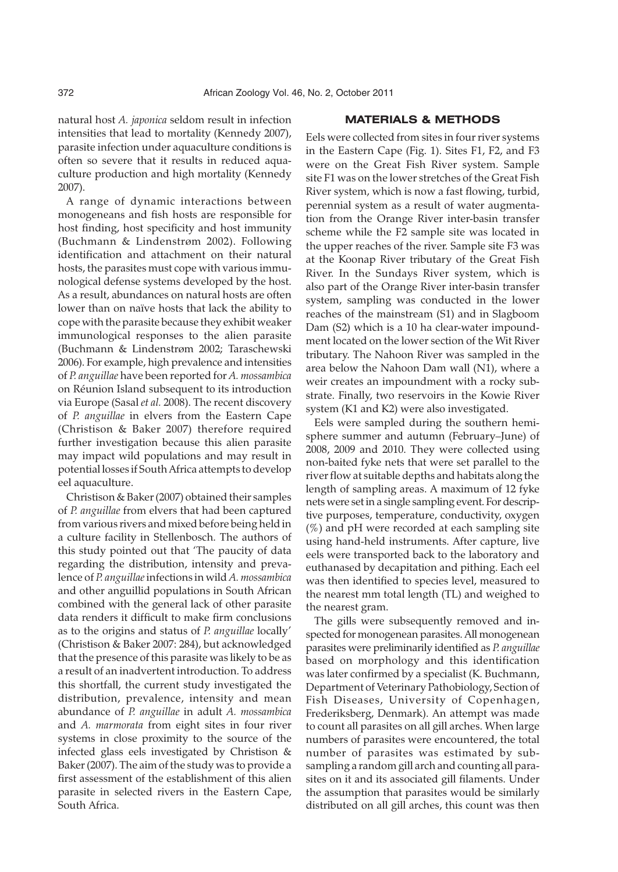natural host *A. japonica* seldom result in infection intensities that lead to mortality (Kennedy 2007), parasite infection under aquaculture conditions is often so severe that it results in reduced aquaculture production and high mortality (Kennedy 2007).

A range of dynamic interactions between monogeneans and fish hosts are responsible for host finding, host specificity and host immunity (Buchmann & Lindenstrøm 2002). Following identification and attachment on their natural hosts, the parasites must cope with various immunological defense systems developed by the host. As a result, abundances on natural hosts are often lower than on naïve hosts that lack the ability to cope with the parasite because they exhibit weaker immunological responses to the alien parasite (Buchmann & Lindenstrøm 2002; Taraschewski 2006). For example, high prevalence and intensities of *P. anguillae* have been reported for *A. mossambica* on Réunion Island subsequent to its introduction via Europe (Sasal *et al.* 2008). The recent discovery of *P. anguillae* in elvers from the Eastern Cape (Christison & Baker 2007) therefore required further investigation because this alien parasite may impact wild populations and may result in potential losses if South Africa attempts to develop eel aquaculture.

Christison & Baker (2007) obtained their samples of *P. anguillae* from elvers that had been captured from various rivers and mixed before being held in a culture facility in Stellenbosch. The authors of this study pointed out that 'The paucity of data regarding the distribution, intensity and prevalence of *P. anguillae*infections in wild*A. mossambica* and other anguillid populations in South African combined with the general lack of other parasite data renders it difficult to make firm conclusions as to the origins and status of *P. anguillae* locally' (Christison & Baker 2007: 284), but acknowledged that the presence of this parasite was likely to be as a result of an inadvertent introduction. To address this shortfall, the current study investigated the distribution, prevalence, intensity and mean abundance of *P. anguillae* in adult *A. mossambica* and *A. marmorata* from eight sites in four river systems in close proximity to the source of the infected glass eels investigated by Christison & Baker (2007). The aim of the study was to provide a first assessment of the establishment of this alien parasite in selected rivers in the Eastern Cape, South Africa.

# **MATERIALS & METHODS**

Eels were collected from sites in four river systems in the Eastern Cape (Fig. 1). Sites F1, F2, and F3 were on the Great Fish River system. Sample site F1 was on the lower stretches of the Great Fish River system, which is now a fast flowing, turbid, perennial system as a result of water augmentation from the Orange River inter-basin transfer scheme while the F2 sample site was located in the upper reaches of the river. Sample site F3 was at the Koonap River tributary of the Great Fish River. In the Sundays River system, which is also part of the Orange River inter-basin transfer system, sampling was conducted in the lower reaches of the mainstream (S1) and in Slagboom Dam (S2) which is a 10 ha clear-water impoundment located on the lower section of the Wit River tributary. The Nahoon River was sampled in the area below the Nahoon Dam wall (N1), where a weir creates an impoundment with a rocky substrate. Finally, two reservoirs in the Kowie River system (K1 and K2) were also investigated.

Eels were sampled during the southern hemisphere summer and autumn (February–June) of 2008, 2009 and 2010. They were collected using non-baited fyke nets that were set parallel to the river flow at suitable depths and habitats along the length of sampling areas. A maximum of 12 fyke nets were set in a single sampling event. For descriptive purposes, temperature, conductivity, oxygen  $(\%)$  and pH were recorded at each sampling site using hand-held instruments. After capture, live eels were transported back to the laboratory and euthanased by decapitation and pithing. Each eel was then identified to species level, measured to the nearest mm total length (TL) and weighed to the nearest gram.

The gills were subsequently removed and inspected for monogenean parasites. All monogenean parasites were preliminarily identified as *P. anguillae* based on morphology and this identification was later confirmed by a specialist (K. Buchmann, Department of Veterinary Pathobiology, Section of Fish Diseases, University of Copenhagen, Frederiksberg, Denmark). An attempt was made to count all parasites on all gill arches. When large numbers of parasites were encountered, the total number of parasites was estimated by subsampling a random gill arch and counting all parasites on it and its associated gill filaments. Under the assumption that parasites would be similarly distributed on all gill arches, this count was then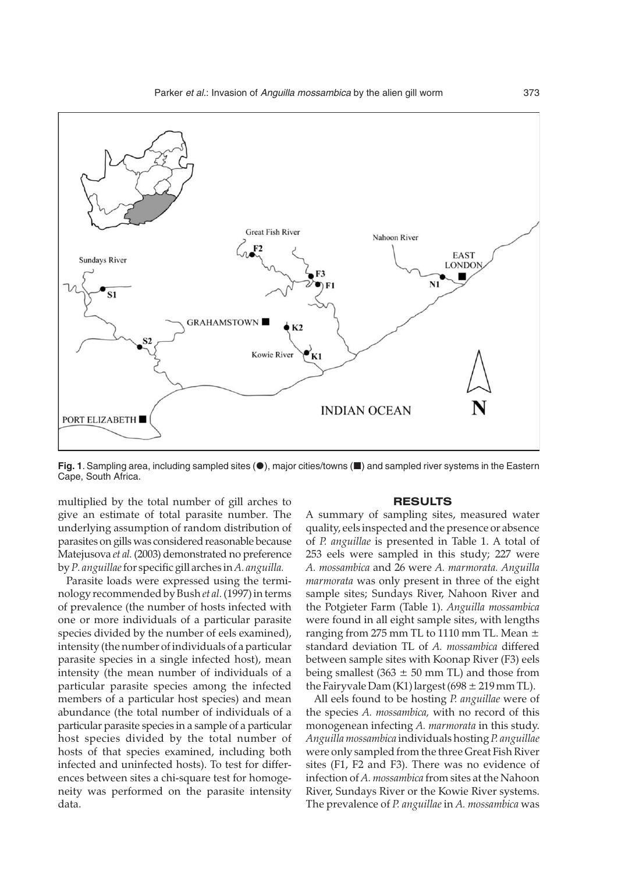

Fig. 1. Sampling area, including sampled sites (<sup>6</sup>), major cities/towns ( $\blacksquare$ ) and sampled river systems in the Eastern Cape, South Africa.

multiplied by the total number of gill arches to give an estimate of total parasite number. The underlying assumption of random distribution of parasites on gills was considered reasonable because Matejusova *et al.* (2003) demonstrated no preference by*P. anguillae*for specific gill arches in*A. anguilla.*

Parasite loads were expressed using the terminology recommended by Bush*et al.*(1997) in terms of prevalence (the number of hosts infected with one or more individuals of a particular parasite species divided by the number of eels examined), intensity (the number of individuals of a particular parasite species in a single infected host), mean intensity (the mean number of individuals of a particular parasite species among the infected members of a particular host species) and mean abundance (the total number of individuals of a particular parasite species in a sample of a particular host species divided by the total number of hosts of that species examined, including both infected and uninfected hosts). To test for differences between sites a chi-square test for homogeneity was performed on the parasite intensity data.

#### **RESULTS**

A summary of sampling sites, measured water quality, eels inspected and the presence or absence of *P. anguillae* is presented in Table 1. A total of 253 eels were sampled in this study; 227 were *A. mossambica* and 26 were *A. marmorata. Anguilla marmorata* was only present in three of the eight sample sites; Sundays River, Nahoon River and the Potgieter Farm (Table 1). *Anguilla mossambica* were found in all eight sample sites, with lengths ranging from 275 mm TL to 1110 mm TL. Mean  $\pm$ standard deviation TL of *A. mossambica* differed between sample sites with Koonap River (F3) eels being smallest  $(363 \pm 50 \text{ mm} \text{ TL})$  and those from the Fairyvale Dam (K1) largest (698  $\pm$  219 mm TL).

All eels found to be hosting *P. anguillae* were of the species *A. mossambica,* with no record of this monogenean infecting *A. marmorata* in this study. *Anguilla mossambica* individuals hosting *P. anguillae* were only sampled from the three Great Fish River sites (F1, F2 and F3). There was no evidence of infection of *A. mossambica* from sites at the Nahoon River, Sundays River or the Kowie River systems. The prevalence of *P. anguillae* in *A. mossambica* was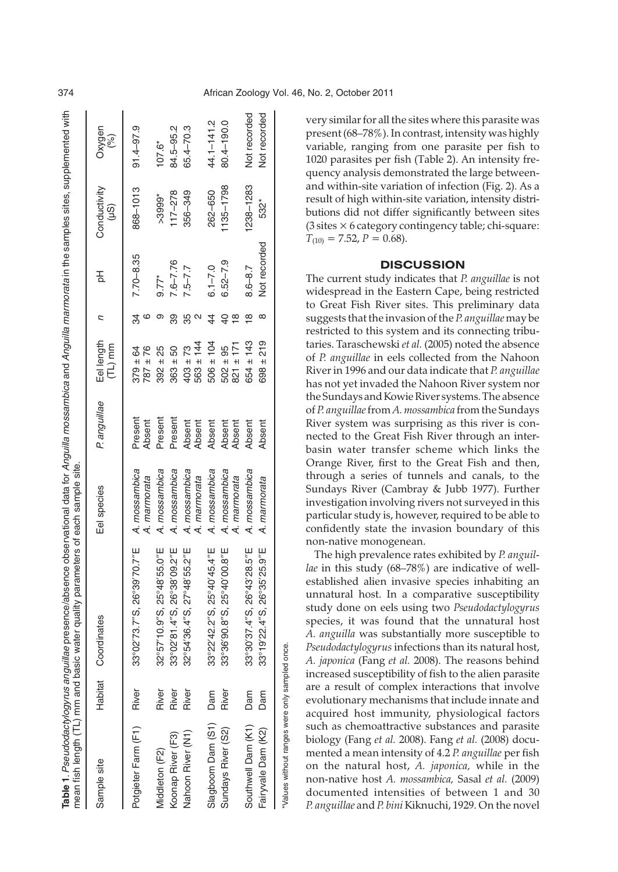|                                                |       | Table 1. Pseudodactylogyrus anguillae presence/absence observational data for Anguilla mossambica and Anguilla marmorata in the samples sites, supplemented with<br>mean fish length (TL) mm and basic water quality parameters of each sample site. |                               |                   |                               |          |               |                                 |               |
|------------------------------------------------|-------|------------------------------------------------------------------------------------------------------------------------------------------------------------------------------------------------------------------------------------------------------|-------------------------------|-------------------|-------------------------------|----------|---------------|---------------------------------|---------------|
| Sample site                                    |       | Habitat Coordinates                                                                                                                                                                                                                                  | Eel species                   | Panguillae        | Eel length<br>(TL) mm         | ς        | 공             | Conductivity<br>$\widetilde{S}$ | Oxygen<br>(%) |
| Potgieter Farm (F1) River                      |       | 33°02'73.7"S, 26°39'70.7"E A. mossambica                                                                                                                                                                                                             | A. marmorata                  | Present<br>Absent | $379 \pm 64$<br>$787 + 76$    | 34       | $7.70 - 8.35$ | 868-1013                        | $91.4 - 97.9$ |
| Middleton (F2)                                 | River | 32°57'10.9"S, 25°48'55.0"E                                                                                                                                                                                                                           | A. mossambica                 | Present           | $392 \pm 25$                  |          | $9.77*$       | $>3999$ *                       | $107.6*$      |
| Koonap River (F3)                              | River | 33°02′81.4″S, 26°38′09.2″E                                                                                                                                                                                                                           | A. mossambica                 | Present           | $363 \pm 50$                  | 89       | $7.6 - 7.76$  | $117 - 278$                     | 84.5-95.2     |
| Nahoon River (N1)                              | River | 32°54'36.4"S, 27°48'55.2"E                                                                                                                                                                                                                           | A. mossambica<br>A. marmorata | Absent<br>Absent  | $563 \pm 144$<br>$403 \pm 73$ | N        | $7.5 - 7.7$   | 356-349                         | 65.4-70.3     |
| Slagboom Dam (S1)                              | Dam   | 33°22′42.2″S, 25°40′45.4″E                                                                                                                                                                                                                           | A. mossambica                 | Absent            | $506 \pm 104$                 | 44       | $6.1 - 7.0$   | 262-650                         | 44.1-141.2    |
| Sundays River (S2)                             | River | 33°36'90.8"S, 25°40'00.8"E                                                                                                                                                                                                                           | A. mossambica<br>A. marmorata | Absent<br>Absent  | $821 \pm 171$<br>$502 \pm 95$ | $\infty$ | $6.52 - 7.9$  | $1135 - 1798$                   | 80.4-190.0    |
| Southwell Dam (K1)                             | Dam   | 33°30'37.4"S, 26°43'28.5"E                                                                                                                                                                                                                           | A. mossambica                 | Absent            | $654 \pm 143$                 | ∞        | $8.6 - 8.7$   | $238 - 1283$                    | Not recorded  |
| Fairyvale Dam (K2)                             | Dam   | 33°19′22.4″S, 26°35′25.9″E                                                                                                                                                                                                                           | A. marmorata                  | Absent            | $698 \pm 219$                 |          | Not recorded  | 532*                            | Not recorded  |
| *Values without ranges were only sampled once. |       |                                                                                                                                                                                                                                                      |                               |                   |                               |          |               |                                 |               |

very similar for all the sites where this parasite was present (68–78%). In contrast, intensity was highly variable, ranging from one parasite per fish to 1020 parasites per fish (Table 2). An intensity frequency analysis demonstrated the large betweenand within-site variation of infection (Fig. 2). As a result of high within-site variation, intensity distributions did not differ significantly between sites (3 sites × 6 category contingency table; chi-square:  $T_{(10)} = 7.52$ ,  $P = 0.68$ ).

# **DISCUSSION**

The current study indicates that *P. anguillae* is not widespread in the Eastern Cape, being restricted to Great Fish River sites. This preliminary data suggests that the invasion of the *P. anguillae* may be restricted to this system and its connecting tributaries. Taraschewski *et al.* (2005) noted the absence of *P. anguillae* in eels collected from the Nahoon River in 1996 and our data indicate that *P. anguillae* has not yet invaded the Nahoon River system nor the Sundays and Kowie River systems. The absence of *P. anguillae*from *A. mossambica* from the Sundays River system was surprising as this river is connected to the Great Fish River through an interbasin water transfer scheme which links the Orange River, first to the Great Fish and then, through a series of tunnels and canals, to the Sundays River (Cambray & Jubb 1977). Further investigation involving rivers not surveyed in this particular study is, however, required to be able to confidently state the invasion boundary of this non-native monogenean.

The high prevalence rates exhibited by *P. anguillae* in this study (68–78%) are indicative of wellestablished alien invasive species inhabiting an unnatural host. In a comparative susceptibility study done on eels using two *Pseudodactylogyrus* species, it was found that the unnatural host *A. anguilla* was substantially more susceptible to *Pseudodactylogyrus* infections than its natural host, *A. japonica* (Fang *et al.* 2008). The reasons behind increased susceptibility of fish to the alien parasite are a result of complex interactions that involve evolutionary mechanisms that include innate and acquired host immunity, physiological factors such as chemoattractive substances and parasite biology (Fang *et al.* 2008). Fang *et al.* (2008) documented a mean intensity of 4.2 *P. anguillae* per fish on the natural host, *A. japonica,* while in the non-native host *A. mossambica,* Sasal *et al.* (2009) documented intensities of between 1 and 30 *P. anguillae* and *P. bini*Kiknuchi, 1929. On the novel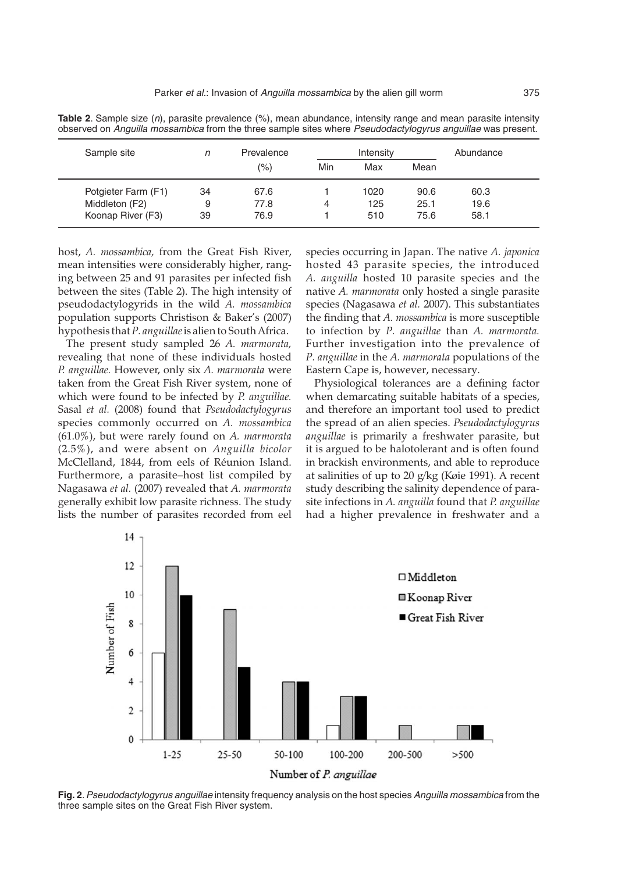| Sample site         | n  | Prevalence<br>(%) | Intensity |      |      | Abundance |  |
|---------------------|----|-------------------|-----------|------|------|-----------|--|
|                     |    |                   | Min       | Max  | Mean |           |  |
| Potgieter Farm (F1) | 34 | 67.6              |           | 1020 | 90.6 | 60.3      |  |
| Middleton (F2)      | 9  | 77.8              | 4         | 125  | 25.1 | 19.6      |  |
| Koonap River (F3)   | 39 | 76.9              |           | 510  | 75.6 | 58.1      |  |

**Table 2**. Sample size (n), parasite prevalence (%), mean abundance, intensity range and mean parasite intensity observed on Anguilla mossambica from the three sample sites where Pseudodactylogyrus anguillae was present.

host, *A. mossambica,* from the Great Fish River, mean intensities were considerably higher, ranging between 25 and 91 parasites per infected fish between the sites (Table 2). The high intensity of pseudodactylogyrids in the wild *A. mossambica* population supports Christison & Baker's (2007) hypothesis that*P. anguillae*is alien to South Africa.

The present study sampled 26 *A. marmorata,* revealing that none of these individuals hosted *P. anguillae.* However, only six *A. marmorata* were taken from the Great Fish River system, none of which were found to be infected by *P. anguillae.* Sasal *et al.* (2008) found that *Pseudodactylogyrus* species commonly occurred on *A. mossambica* (61.0%), but were rarely found on *A. marmorata* (2.5%), and were absent on *Anguilla bicolor* McClelland, 1844, from eels of Réunion Island. Furthermore, a parasite–host list compiled by Nagasawa *et al.* (2007) revealed that *A. marmorata* generally exhibit low parasite richness. The study lists the number of parasites recorded from eel

species occurring in Japan. The native *A. japonica* hosted 43 parasite species, the introduced *A. anguilla* hosted 10 parasite species and the native *A. marmorata* only hosted a single parasite species (Nagasawa *et al.* 2007). This substantiates the finding that *A. mossambica* is more susceptible to infection by *P. anguillae* than *A. marmorata.* Further investigation into the prevalence of *P. anguillae* in the *A. marmorata* populations of the Eastern Cape is, however, necessary.

Physiological tolerances are a defining factor when demarcating suitable habitats of a species, and therefore an important tool used to predict the spread of an alien species. *Pseudodactylogyrus anguillae* is primarily a freshwater parasite, but it is argued to be halotolerant and is often found in brackish environments, and able to reproduce at salinities of up to 20 g/kg (Køie 1991). A recent study describing the salinity dependence of parasite infections in *A. anguilla* found that *P. anguillae* had a higher prevalence in freshwater and a



**Fig. 2**.Pseudodactylogyrus anguillae intensity frequency analysis on the host species Anguilla mossambica from the three sample sites on the Great Fish River system.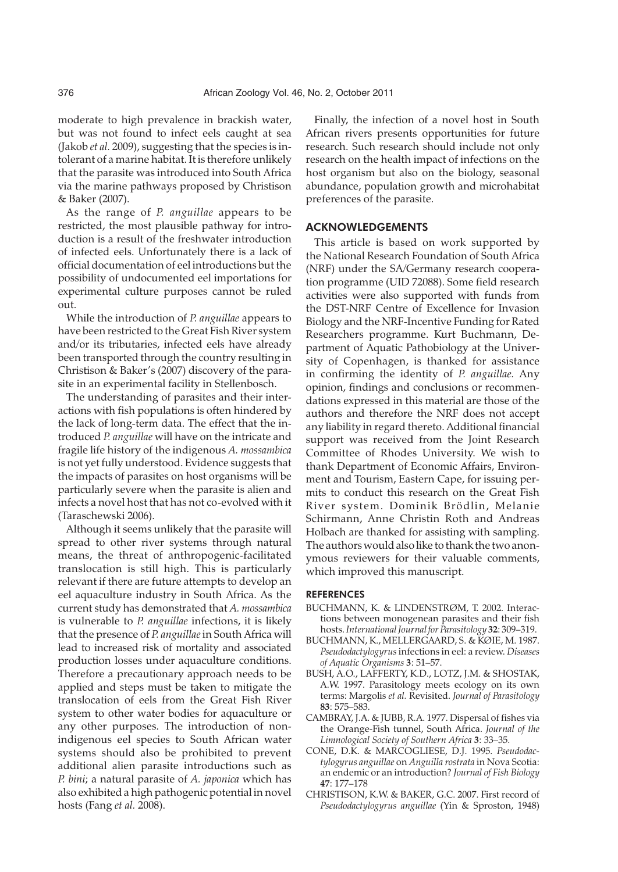moderate to high prevalence in brackish water, but was not found to infect eels caught at sea (Jakob *et al.* 2009), suggesting that the species is intolerant of a marine habitat. It is therefore unlikely that the parasite was introduced into South Africa via the marine pathways proposed by Christison & Baker (2007).

As the range of *P. anguillae* appears to be restricted, the most plausible pathway for introduction is a result of the freshwater introduction of infected eels. Unfortunately there is a lack of official documentation of eel introductions but the possibility of undocumented eel importations for experimental culture purposes cannot be ruled out.

While the introduction of *P. anguillae* appears to have been restricted to the Great Fish River system and/or its tributaries, infected eels have already been transported through the country resulting in Christison & Baker's (2007) discovery of the parasite in an experimental facility in Stellenbosch.

The understanding of parasites and their interactions with fish populations is often hindered by the lack of long-term data. The effect that the introduced *P. anguillae* will have on the intricate and fragile life history of the indigenous *A. mossambica* is not yet fully understood. Evidence suggests that the impacts of parasites on host organisms will be particularly severe when the parasite is alien and infects a novel host that has not co-evolved with it (Taraschewski 2006).

Although it seems unlikely that the parasite will spread to other river systems through natural means, the threat of anthropogenic-facilitated translocation is still high. This is particularly relevant if there are future attempts to develop an eel aquaculture industry in South Africa. As the current study has demonstrated that *A. mossambica* is vulnerable to *P. anguillae* infections, it is likely that the presence of *P. anguillae*in South Africa will lead to increased risk of mortality and associated production losses under aquaculture conditions. Therefore a precautionary approach needs to be applied and steps must be taken to mitigate the translocation of eels from the Great Fish River system to other water bodies for aquaculture or any other purposes. The introduction of nonindigenous eel species to South African water systems should also be prohibited to prevent additional alien parasite introductions such as *P. bini*; a natural parasite of *A. japonica* which has also exhibited a high pathogenic potential in novel hosts (Fang *et al.* 2008).

Finally, the infection of a novel host in South African rivers presents opportunities for future research. Such research should include not only research on the health impact of infections on the host organism but also on the biology, seasonal abundance, population growth and microhabitat preferences of the parasite.

### ACKNOWLEDGEMENTS

This article is based on work supported by the National Research Foundation of South Africa (NRF) under the SA/Germany research cooperation programme (UID 72088). Some field research activities were also supported with funds from the DST-NRF Centre of Excellence for Invasion Biology and the NRF-Incentive Funding for Rated Researchers programme. Kurt Buchmann, Department of Aquatic Pathobiology at the University of Copenhagen, is thanked for assistance in confirming the identity of *P. anguillae.* Any opinion, findings and conclusions or recommendations expressed in this material are those of the authors and therefore the NRF does not accept any liability in regard thereto. Additional financial support was received from the Joint Research Committee of Rhodes University. We wish to thank Department of Economic Affairs, Environment and Tourism, Eastern Cape, for issuing permits to conduct this research on the Great Fish River system. Dominik Brödlin, Melanie Schirmann, Anne Christin Roth and Andreas Holbach are thanked for assisting with sampling. The authors would also like to thank the two anonymous reviewers for their valuable comments, which improved this manuscript.

#### REFERENCES

- BUCHMANN, K. & LINDENSTRØM, T. 2002. Interactions between monogenean parasites and their fish hosts.*International Journal for Parasitology* **32**: 309–319.
- BUCHMANN, K., MELLERGAARD, S. & KØIE, M. 1987. *Pseudodactylogyrus* infections in eel: a review. *Diseases of Aquatic Organisms* **3**: 51–57.
- BUSH, A.O., LAFFERTY, K.D., LOTZ, J.M. & SHOSTAK, A.W. 1997. Parasitology meets ecology on its own terms: Margolis *et al.* Revisited. *Journal of Parasitology* **83**: 575–583.
- CAMBRAY, J.A. & JUBB, R.A. 1977. Dispersal of fishes via the Orange-Fish tunnel, South Africa. *Journal of the Limnological Society of Southern Africa* **3**: 33–35.
- CONE, D.K. & MARCOGLIESE, D.J. 1995. *Pseudodactylogyrus anguillae* on *Anguilla rostrata* in Nova Scotia: an endemic or an introduction? *Journal of Fish Biology* **47**: 177–178
- CHRISTISON, K.W. & BAKER, G.C. 2007. First record of *Pseudodactylogyrus anguillae* (Yin & Sproston, 1948)